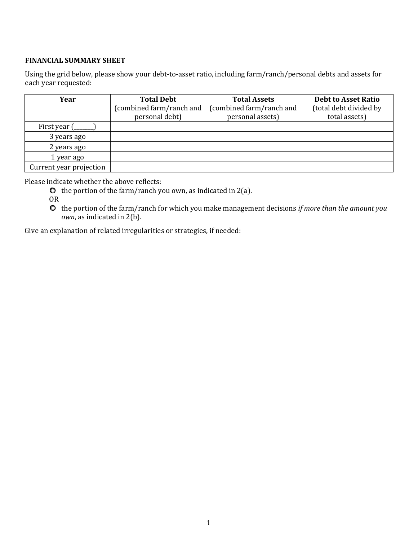## **FINANCIAL SUMMARY SHEET**

Using the grid below, please show your debt-to-asset ratio, including farm/ranch/personal debts and assets for each year requested:

| Year                    | <b>Total Debt</b>        | <b>Total Assets</b>      | <b>Debt to Asset Ratio</b> |
|-------------------------|--------------------------|--------------------------|----------------------------|
|                         | (combined farm/ranch and | (combined farm/ranch and | (total debt divided by     |
|                         | personal debt)           | personal assets)         | total assets)              |
| First year (            |                          |                          |                            |
| 3 years ago             |                          |                          |                            |
| 2 years ago             |                          |                          |                            |
| 1 year ago              |                          |                          |                            |
| Current year projection |                          |                          |                            |

Please indicate whether the above reflects:

- $\bullet$  the portion of the farm/ranch you own, as indicated in 2(a).
- OR
- the portion of the farm/ranch for which you make management decisions *if more than the amount you own*, as indicated in 2(b).

Give an explanation of related irregularities or strategies, if needed: